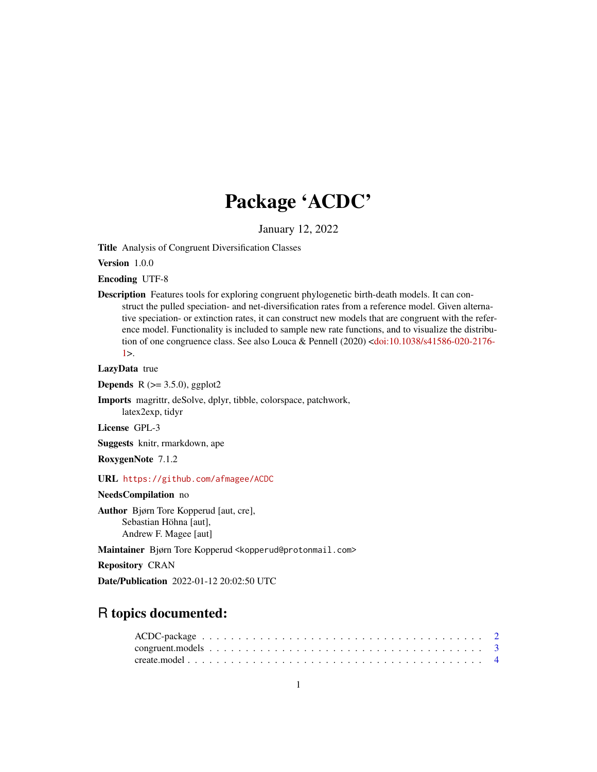# Package 'ACDC'

January 12, 2022

Title Analysis of Congruent Diversification Classes

Version 1.0.0

Encoding UTF-8

Description Features tools for exploring congruent phylogenetic birth-death models. It can construct the pulled speciation- and net-diversification rates from a reference model. Given alternative speciation- or extinction rates, it can construct new models that are congruent with the reference model. Functionality is included to sample new rate functions, and to visualize the distribution of one congruence class. See also Louca & Pennell (2020) [<doi:10.1038/s41586-020-2176-](https://doi.org/10.1038/s41586-020-2176-1)  $1$ 

LazyData true

**Depends** R  $(>= 3.5.0)$ , ggplot2

Imports magrittr, deSolve, dplyr, tibble, colorspace, patchwork, latex2exp, tidyr

License GPL-3

Suggests knitr, rmarkdown, ape

RoxygenNote 7.1.2

URL <https://github.com/afmagee/ACDC>

NeedsCompilation no

Author Bjørn Tore Kopperud [aut, cre], Sebastian Höhna [aut], Andrew F. Magee [aut]

Maintainer Bjørn Tore Kopperud <kopperud@protonmail.com>

Repository CRAN

Date/Publication 2022-01-12 20:02:50 UTC

# R topics documented: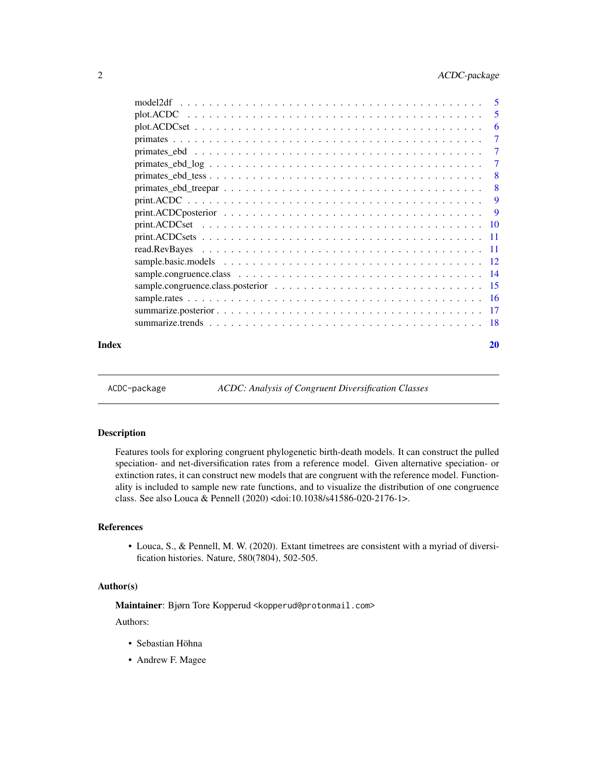<span id="page-1-0"></span>

| Index |                                                                                                                     | 20             |
|-------|---------------------------------------------------------------------------------------------------------------------|----------------|
|       |                                                                                                                     |                |
|       |                                                                                                                     |                |
|       |                                                                                                                     |                |
|       |                                                                                                                     |                |
|       |                                                                                                                     |                |
|       |                                                                                                                     |                |
|       |                                                                                                                     |                |
|       |                                                                                                                     |                |
|       |                                                                                                                     |                |
|       |                                                                                                                     | -9             |
|       |                                                                                                                     | 9              |
|       |                                                                                                                     | $-8$           |
|       | $primates_ebd_tess \dots \dots \dots \dots \dots \dots \dots \dots \dots \dots \dots \dots \dots \dots \dots \dots$ | - 8            |
|       | $primates_ebd\_log \ldots \ldots \ldots \ldots \ldots \ldots \ldots \ldots \ldots \ldots \ldots \ldots$             | 7              |
|       |                                                                                                                     | 7              |
|       |                                                                                                                     | $\overline{7}$ |
|       |                                                                                                                     | -6             |
|       |                                                                                                                     | -5             |
|       |                                                                                                                     | -5             |

ACDC-package *ACDC: Analysis of Congruent Diversification Classes*

# Description

Features tools for exploring congruent phylogenetic birth-death models. It can construct the pulled speciation- and net-diversification rates from a reference model. Given alternative speciation- or extinction rates, it can construct new models that are congruent with the reference model. Functionality is included to sample new rate functions, and to visualize the distribution of one congruence class. See also Louca & Pennell (2020) <doi:10.1038/s41586-020-2176-1>.

#### References

• Louca, S., & Pennell, M. W. (2020). Extant timetrees are consistent with a myriad of diversification histories. Nature, 580(7804), 502-505.

#### Author(s)

Maintainer: Bjørn Tore Kopperud <kopperud@protonmail.com>

Authors:

- Sebastian Höhna
- Andrew F. Magee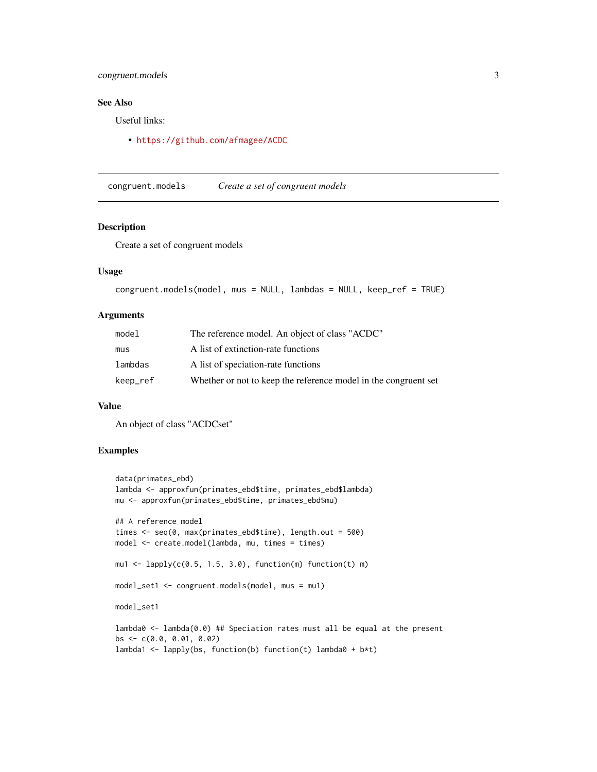# <span id="page-2-0"></span>congruent.models 3

# See Also

Useful links:

• <https://github.com/afmagee/ACDC>

congruent.models *Create a set of congruent models*

## Description

Create a set of congruent models

# Usage

```
congruent.models(model, mus = NULL, lambdas = NULL, keep_ref = TRUE)
```
# Arguments

| model    | The reference model. An object of class "ACDC"                  |
|----------|-----------------------------------------------------------------|
| mus      | A list of extinction-rate functions                             |
| lambdas  | A list of speciation-rate functions                             |
| keep_ref | Whether or not to keep the reference model in the congruent set |

#### Value

An object of class "ACDCset"

```
data(primates_ebd)
lambda <- approxfun(primates_ebd$time, primates_ebd$lambda)
mu <- approxfun(primates_ebd$time, primates_ebd$mu)
## A reference model
times <- seq(0, max(primates_ebd$time), length.out = 500)
model <- create.model(lambda, mu, times = times)
mu1 <- lapply(c(0.5, 1.5, 3.0), function(m) function(t) m)
model_set1 <- congruent.models(model, mus = mu1)
model_set1
lambda0 <- lambda(0.0) ## Speciation rates must all be equal at the present
bs <- c(0.0, 0.01, 0.02)
lambda1 <- lapply(bs, function(b) function(t) lambda0 + b*t)
```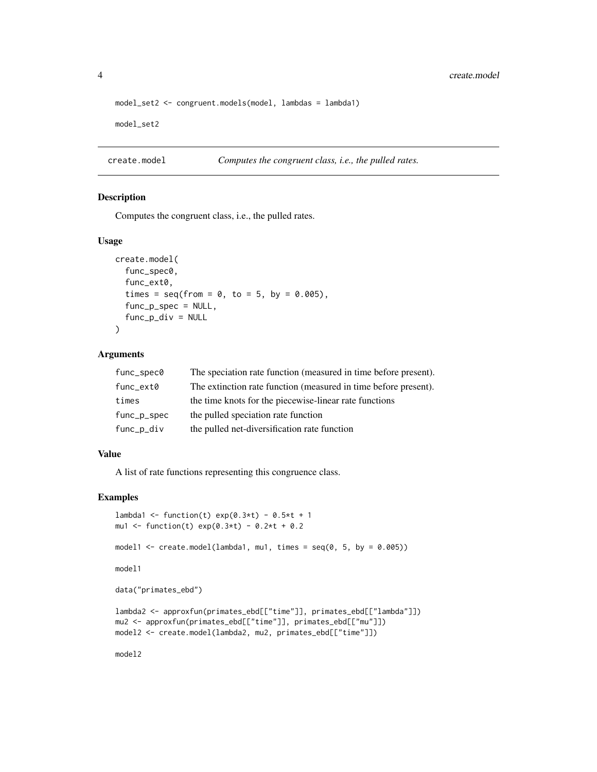<span id="page-3-0"></span>4 create.model

```
model_set2 <- congruent.models(model, lambdas = lambda1)
model_set2
```
create.model *Computes the congruent class, i.e., the pulled rates.*

# Description

Computes the congruent class, i.e., the pulled rates.

#### Usage

```
create.model(
  func_spec0,
  func_ext0,
  times = seq(from = 0, to = 5, by = 0.005),
  func_p_spec = NULL,
  func_p\_div = NULL\lambda
```
# Arguments

| func_spec0  | The speciation rate function (measured in time before present). |
|-------------|-----------------------------------------------------------------|
| func_ext0   | The extinction rate function (measured in time before present). |
| times       | the time knots for the piecewise-linear rate functions          |
| func_p_spec | the pulled speciation rate function                             |
| func_p_div  | the pulled net-diversification rate function                    |

#### Value

A list of rate functions representing this congruence class.

```
lambda1 <- function(t) exp(0.3*t) - 0.5*t + 1mu1 <- function(t) exp(0.3*t) - 0.2*t + 0.2model1 <- create.model(lambda1, mu1, times = seq(0, 5, by = 0.005))
model1
data("primates_ebd")
lambda2 <- approxfun(primates_ebd[["time"]], primates_ebd[["lambda"]])
mu2 <- approxfun(primates_ebd[["time"]], primates_ebd[["mu"]])
model2 <- create.model(lambda2, mu2, primates_ebd[["time"]])
model2
```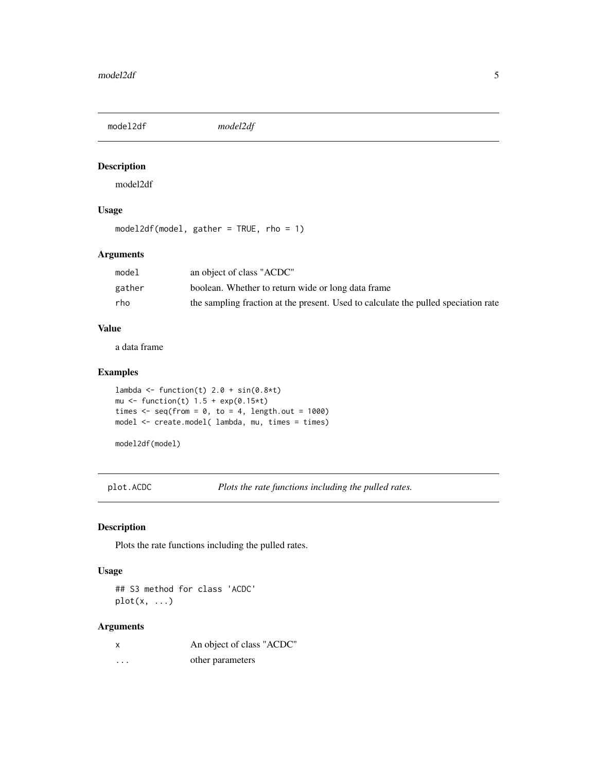<span id="page-4-0"></span>model2df *model2df*

# Description

model2df

# Usage

model2df(model, gather = TRUE, rho = 1)

#### Arguments

| model  | an object of class "ACDC"                                                          |
|--------|------------------------------------------------------------------------------------|
| gather | boolean. Whether to return wide or long data frame                                 |
| rho    | the sampling fraction at the present. Used to calculate the pulled speciation rate |

# Value

a data frame

# Examples

```
lambda <- function(t) 2.0 + sin(0.8*t)mu \leftarrow function(t) 1.5 + exp(0.15*t)
times \leq seq(from = 0, to = 4, length.out = 1000)
model <- create.model( lambda, mu, times = times)
```
model2df(model)

plot.ACDC *Plots the rate functions including the pulled rates.*

# Description

Plots the rate functions including the pulled rates.

#### Usage

## S3 method for class 'ACDC'  $plot(x, \ldots)$ 

|   | An object of class "ACDC" |
|---|---------------------------|
| . | other parameters          |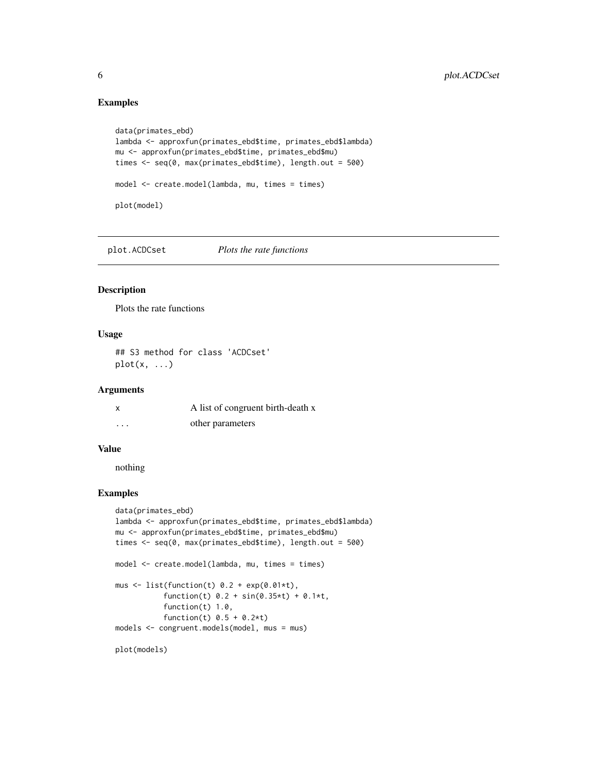# Examples

```
data(primates_ebd)
lambda <- approxfun(primates_ebd$time, primates_ebd$lambda)
mu <- approxfun(primates_ebd$time, primates_ebd$mu)
times <- seq(0, max(primates_ebd$time), length.out = 500)
model <- create.model(lambda, mu, times = times)
plot(model)
```
plot.ACDCset *Plots the rate functions*

#### Description

Plots the rate functions

#### Usage

## S3 method for class 'ACDCset' plot(x, ...)

#### Arguments

|   | A list of congruent birth-death x |
|---|-----------------------------------|
| . | other parameters                  |

#### Value

nothing

```
data(primates_ebd)
lambda <- approxfun(primates_ebd$time, primates_ebd$lambda)
mu <- approxfun(primates_ebd$time, primates_ebd$mu)
times <- seq(0, max(primates_ebd$time), length.out = 500)
model <- create.model(lambda, mu, times = times)
mus \le list(function(t) 0.2 + exp(0.01*t),
           function(t) 0.2 + sin(0.35*t) + 0.1*t,
           function(t) 1.0,
           function(t) 0.5 + 0.2*tmodels <- congruent.models(model, mus = mus)
plot(models)
```
<span id="page-5-0"></span>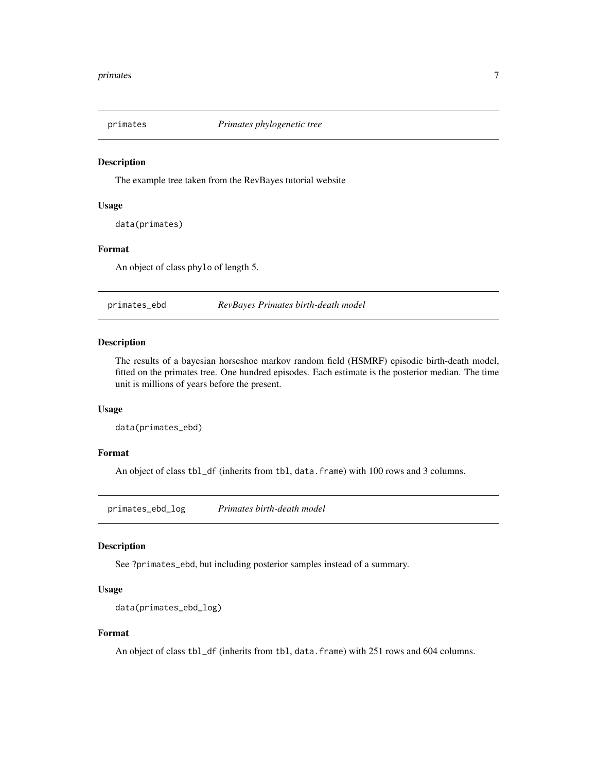<span id="page-6-0"></span>

#### Description

The example tree taken from the RevBayes tutorial website

#### Usage

data(primates)

#### Format

An object of class phylo of length 5.

primates\_ebd *RevBayes Primates birth-death model*

# Description

The results of a bayesian horseshoe markov random field (HSMRF) episodic birth-death model, fitted on the primates tree. One hundred episodes. Each estimate is the posterior median. The time unit is millions of years before the present.

# Usage

```
data(primates_ebd)
```
#### Format

An object of class tbl\_df (inherits from tbl, data.frame) with 100 rows and 3 columns.

primates\_ebd\_log *Primates birth-death model*

#### Description

See ?primates\_ebd, but including posterior samples instead of a summary.

#### Usage

```
data(primates_ebd_log)
```
#### Format

An object of class tbl\_df (inherits from tbl, data.frame) with 251 rows and 604 columns.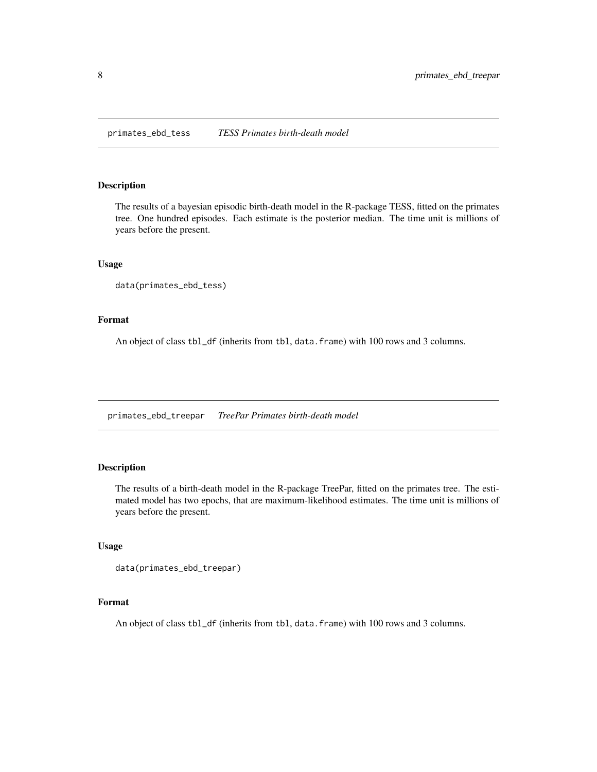<span id="page-7-0"></span>primates\_ebd\_tess *TESS Primates birth-death model*

#### Description

The results of a bayesian episodic birth-death model in the R-package TESS, fitted on the primates tree. One hundred episodes. Each estimate is the posterior median. The time unit is millions of years before the present.

#### Usage

```
data(primates_ebd_tess)
```
# Format

An object of class tbl\_df (inherits from tbl, data.frame) with 100 rows and 3 columns.

primates\_ebd\_treepar *TreePar Primates birth-death model*

# Description

The results of a birth-death model in the R-package TreePar, fitted on the primates tree. The estimated model has two epochs, that are maximum-likelihood estimates. The time unit is millions of years before the present.

# Usage

```
data(primates_ebd_treepar)
```
# Format

An object of class tbl\_df (inherits from tbl, data.frame) with 100 rows and 3 columns.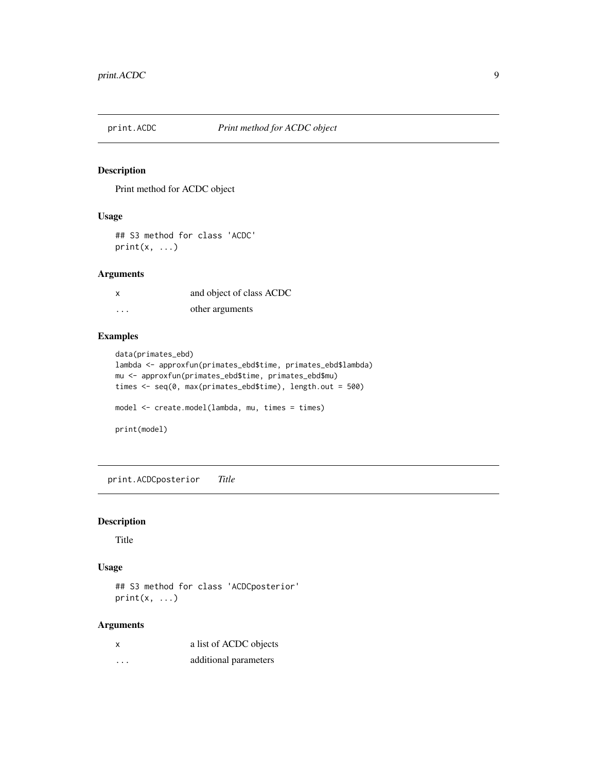<span id="page-8-0"></span>

# Description

Print method for ACDC object

# Usage

## S3 method for class 'ACDC'  $print(x, \ldots)$ 

# Arguments

| X        | and object of class ACDC |
|----------|--------------------------|
| $\cdots$ | other arguments          |

# Examples

```
data(primates_ebd)
lambda <- approxfun(primates_ebd$time, primates_ebd$lambda)
mu <- approxfun(primates_ebd$time, primates_ebd$mu)
times <- seq(0, max(primates_ebd$time), length.out = 500)
model <- create.model(lambda, mu, times = times)
print(model)
```
print.ACDCposterior *Title*

# Description

Title

# Usage

## S3 method for class 'ACDCposterior'  $print(x, \ldots)$ 

| x        | a list of ACDC objects |
|----------|------------------------|
| $\cdots$ | additional parameters  |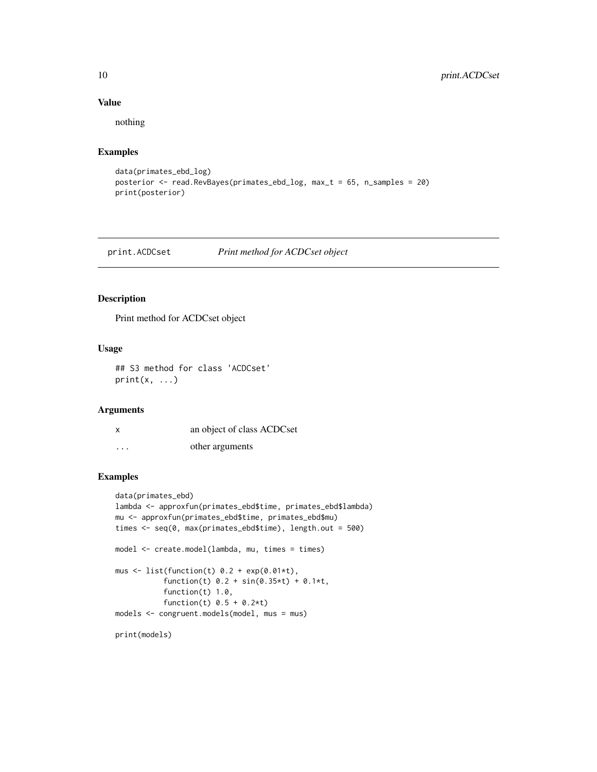# Value

nothing

# Examples

```
data(primates_ebd_log)
posterior <- read.RevBayes(primates_ebd_log, max_t = 65, n_samples = 20)
print(posterior)
```
print.ACDCset *Print method for ACDCset object*

## Description

Print method for ACDCset object

# Usage

## S3 method for class 'ACDCset'  $print(x, \ldots)$ 

# Arguments

| X | an object of class ACDCset |
|---|----------------------------|
| . | other arguments            |

```
data(primates_ebd)
lambda <- approxfun(primates_ebd$time, primates_ebd$lambda)
mu <- approxfun(primates_ebd$time, primates_ebd$mu)
times <- seq(0, max(primates_ebd$time), length.out = 500)
model <- create.model(lambda, mu, times = times)
mus \le list(function(t) 0.2 + exp(0.01*t),
           function(t) 0.2 + sin(0.35*t) + 0.1*t,
           function(t) 1.0,
           function(t) 0.5 + 0.2*tmodels <- congruent.models(model, mus = mus)
print(models)
```
<span id="page-9-0"></span>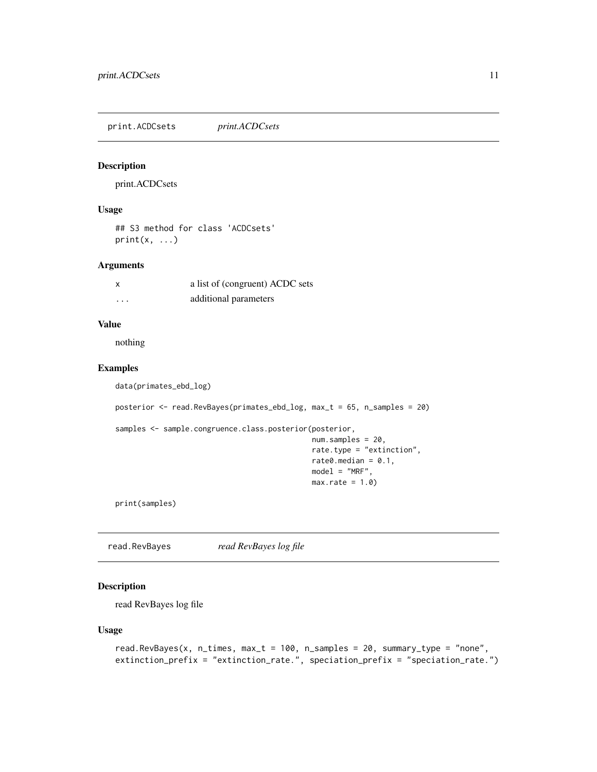<span id="page-10-0"></span>print.ACDCsets *print.ACDCsets*

# Description

print.ACDCsets

# Usage

## S3 method for class 'ACDCsets'  $print(x, \ldots)$ 

#### Arguments

| x        | a list of (congruent) ACDC sets |
|----------|---------------------------------|
| $\cdots$ | additional parameters           |

#### Value

nothing

# Examples

data(primates\_ebd\_log)

posterior <- read.RevBayes(primates\_ebd\_log, max\_t = 65, n\_samples = 20)

```
samples <- sample.congruence.class.posterior(posterior,
```

```
num.samples = 20,
rate.type = "extinction",
rate0.median = 0.1,
model = "MRF",
max rate = 1.0
```
print(samples)

read.RevBayes *read RevBayes log file*

#### Description

read RevBayes log file

# Usage

```
read.RevBayes(x, n_times, max_t = 100, n_samples = 20, summary_type = "none",
extinction_prefix = "extinction_rate.", speciation_prefix = "speciation_rate.")
```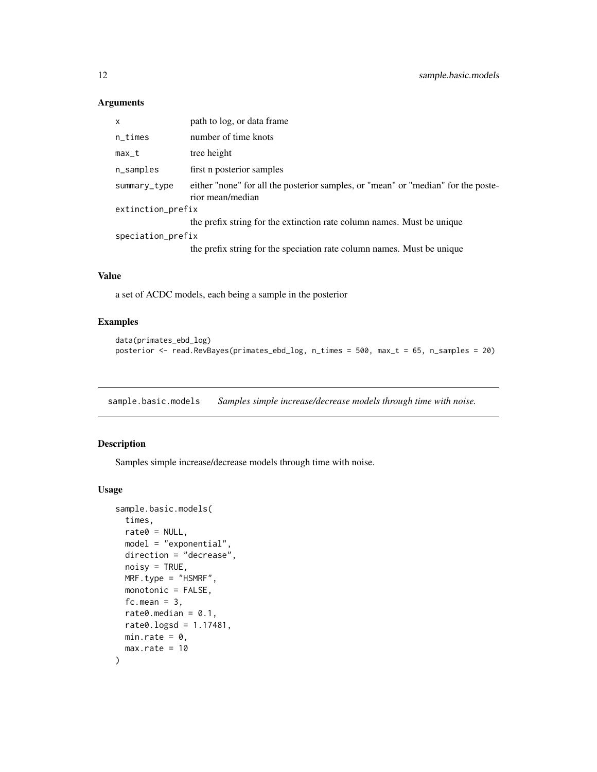# <span id="page-11-0"></span>Arguments

| x                 | path to log, or data frame                                                                            |  |  |  |  |  |  |
|-------------------|-------------------------------------------------------------------------------------------------------|--|--|--|--|--|--|
| n_times           | number of time knots                                                                                  |  |  |  |  |  |  |
| max_t             | tree height                                                                                           |  |  |  |  |  |  |
| n_samples         | first n posterior samples                                                                             |  |  |  |  |  |  |
| summary_type      | either "none" for all the posterior samples, or "mean" or "median" for the poste-<br>rior mean/median |  |  |  |  |  |  |
|                   | extinction_prefix                                                                                     |  |  |  |  |  |  |
|                   | the prefix string for the extinction rate column names. Must be unique                                |  |  |  |  |  |  |
| speciation_prefix |                                                                                                       |  |  |  |  |  |  |
|                   | the prefix string for the speciation rate column names. Must be unique                                |  |  |  |  |  |  |
|                   |                                                                                                       |  |  |  |  |  |  |

# Value

a set of ACDC models, each being a sample in the posterior

# Examples

```
data(primates_ebd_log)
posterior <- read.RevBayes(primates_ebd_log, n_times = 500, max_t = 65, n_samples = 20)
```
<span id="page-11-1"></span>sample.basic.models *Samples simple increase/decrease models through time with noise.*

# Description

Samples simple increase/decrease models through time with noise.

#### Usage

```
sample.basic.models(
 times,
 rate0 = NULL,model = "exponential",
 direction = "decrease",
 noisy = TRUE,MRF.type = "HSMRF",
 monotonic = FALSE,
 fc.mean = 3,
 rate0.median = 0.1,
 rate0.logsd = 1.17481,
 min.rate = 0,
 max rate = 10)
```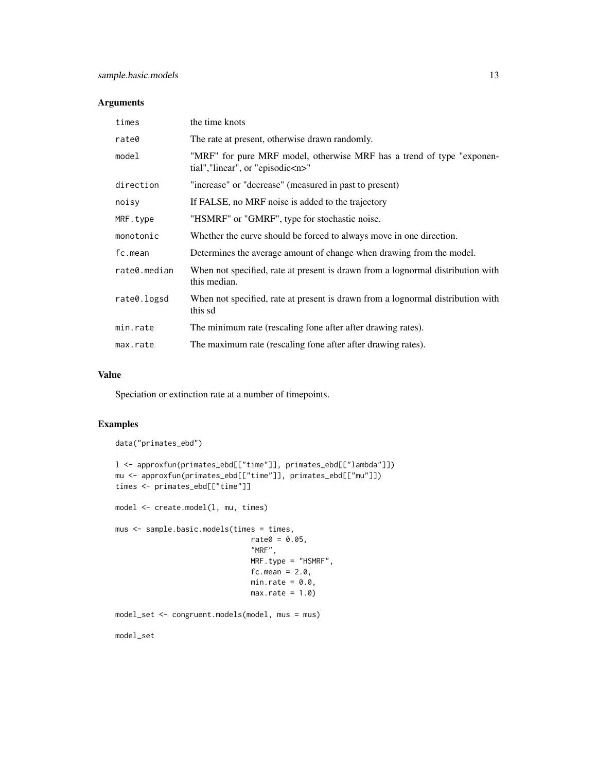#### Arguments

| times        | the time knots                                                                                                 |  |
|--------------|----------------------------------------------------------------------------------------------------------------|--|
| rate0        | The rate at present, otherwise drawn randomly.                                                                 |  |
| model        | "MRF" for pure MRF model, otherwise MRF has a trend of type "exponen-<br>tial","linear", or "episodic <n>"</n> |  |
| direction    | "increase" or "decrease" (measured in past to present)                                                         |  |
| noisy        | If FALSE, no MRF noise is added to the trajectory                                                              |  |
| MRF.type     | "HSMRF" or "GMRF", type for stochastic noise.                                                                  |  |
| monotonic    | Whether the curve should be forced to always move in one direction.                                            |  |
| fc.mean      | Determines the average amount of change when drawing from the model.                                           |  |
| rate0.median | When not specified, rate at present is drawn from a lognormal distribution with<br>this median.                |  |
| rate0.logsd  | When not specified, rate at present is drawn from a lognormal distribution with<br>this sd                     |  |
| min.rate     | The minimum rate (rescaling fone after after drawing rates).                                                   |  |
| max.rate     | The maximum rate (rescaling fone after after drawing rates).                                                   |  |

# Value

Speciation or extinction rate at a number of timepoints.

# Examples

data("primates\_ebd")

```
l <- approxfun(primates_ebd[["time"]], primates_ebd[["lambda"]])
mu <- approxfun(primates_ebd[["time"]], primates_ebd[["mu"]])
times <- primates_ebd[["time"]]
model <- create.model(l, mu, times)
mus <- sample.basic.models(times = times,
                               rate0 = 0.05,
                               "MRF",
                               MRF.type = "HSMRF",
                               fc.mean = 2.0,
                               min rate = 0.0,
                               max rate = 1.0model_set <- congruent.models(model, mus = mus)
model_set
```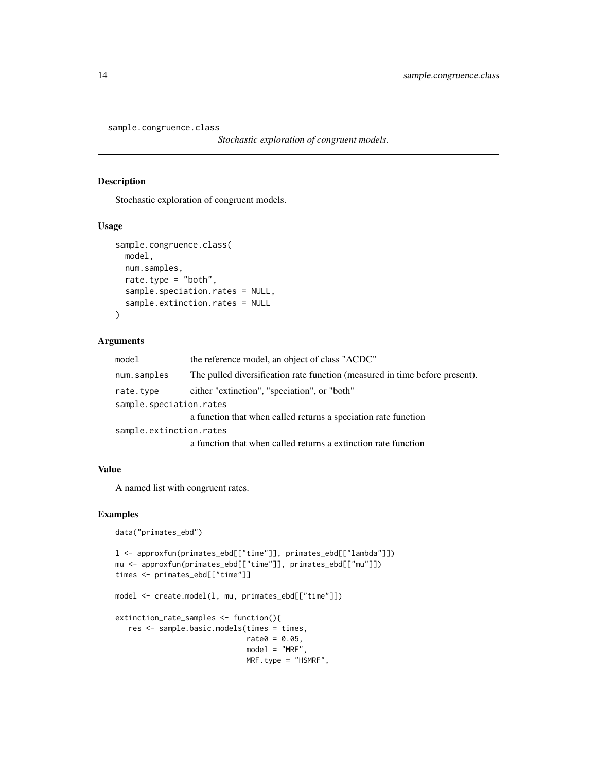```
sample.congruence.class
```
*Stochastic exploration of congruent models.*

# Description

Stochastic exploration of congruent models.

#### Usage

```
sample.congruence.class(
 model,
 num.samples,
 rate.type = "both",
 sample.speciation.rates = NULL,
  sample.extinction.rates = NULL
)
```
# Arguments

| model                   | the reference model, an object of class "ACDC"                              |  |
|-------------------------|-----------------------------------------------------------------------------|--|
| num.samples             | The pulled diversification rate function (measured in time before present). |  |
| rate.type               | either "extinction", "speciation", or "both"                                |  |
| sample.speciation.rates |                                                                             |  |
|                         | a function that when called returns a speciation rate function              |  |
| sample.extinction.rates |                                                                             |  |
|                         | a function that when called returns a extinction rate function              |  |

# Value

A named list with congruent rates.

```
data("primates_ebd")
```

```
l <- approxfun(primates_ebd[["time"]], primates_ebd[["lambda"]])
mu <- approxfun(primates_ebd[["time"]], primates_ebd[["mu"]])
times <- primates_ebd[["time"]]
model <- create.model(l, mu, primates_ebd[["time"]])
extinction_rate_samples <- function(){
   res <- sample.basic.models(times = times,
                             rate0 = 0.05,
                             model = "MRF",MRF.type = "HSMRF",
```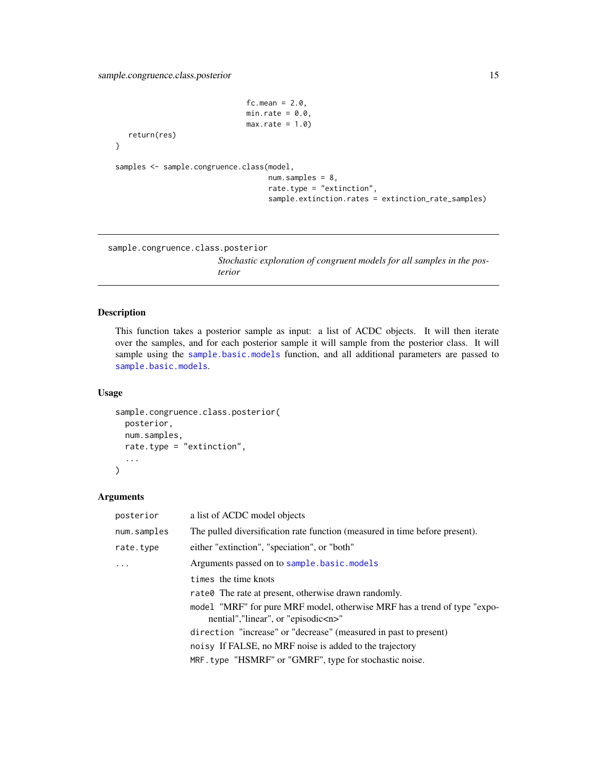```
fc.mean = 2.0,
                              min rate = 0.0,
                              max rate = 1.0return(res)
}
samples <- sample.congruence.class(model,
                                   num.samples = 8,
                                   rate.type = "extinction",
                                   sample.extinction.rates = extinction_rate_samples)
```
sample.congruence.class.posterior

*Stochastic exploration of congruent models for all samples in the posterior*

# Description

This function takes a posterior sample as input: a list of ACDC objects. It will then iterate over the samples, and for each posterior sample it will sample from the posterior class. It will sample using the [sample.basic.models](#page-11-1) function, and all additional parameters are passed to [sample.basic.models](#page-11-1).

#### Usage

```
sample.congruence.class.posterior(
  posterior,
  num.samples,
  rate.type = "extinction",
  ...
\mathcal{L}
```

| posterior   | a list of ACDC model objects                                                                                          |  |
|-------------|-----------------------------------------------------------------------------------------------------------------------|--|
| num.samples | The pulled diversification rate function (measured in time before present).                                           |  |
| rate.type   | either "extinction", "speciation", or "both"                                                                          |  |
| .           | Arguments passed on to sample.basic.models                                                                            |  |
|             | times the time knots                                                                                                  |  |
|             | rate0 The rate at present, otherwise drawn randomly.                                                                  |  |
|             | model "MRF" for pure MRF model, otherwise MRF has a trend of type "expo-<br>nential", "linear", or "episodic <n>"</n> |  |
|             | direction "increase" or "decrease" (measured in past to present)                                                      |  |
|             | noisy If FALSE, no MRF noise is added to the trajectory                                                               |  |
|             | MRF.type "HSMRF" or "GMRF", type for stochastic noise.                                                                |  |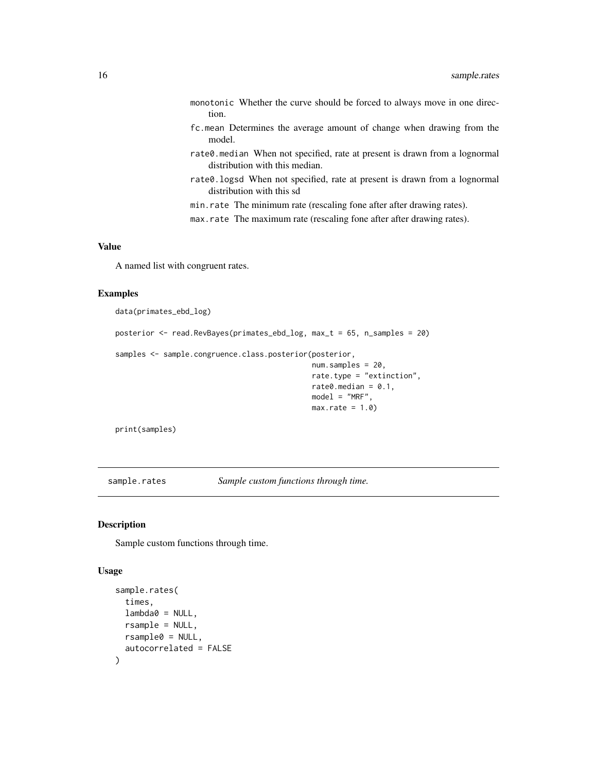- <span id="page-15-0"></span>monotonic Whether the curve should be forced to always move in one direction.
- fc.mean Determines the average amount of change when drawing from the model.
- rate0.median When not specified, rate at present is drawn from a lognormal distribution with this median.
- rate0.logsd When not specified, rate at present is drawn from a lognormal distribution with this sd
- min.rate The minimum rate (rescaling fone after after drawing rates).
- max.rate The maximum rate (rescaling fone after after drawing rates).

# Value

A named list with congruent rates.

#### Examples

data(primates\_ebd\_log)

posterior <- read.RevBayes(primates\_ebd\_log, max\_t = 65, n\_samples = 20)

samples <- sample.congruence.class.posterior(posterior,

```
num.samples = 20,
rate.type = "extinction",
rate0.median = 0.1,
model = "MRF",max rate = 1.0
```
print(samples)

sample.rates *Sample custom functions through time.*

# Description

Sample custom functions through time.

#### Usage

```
sample.rates(
  times,
  lambda0 = NULL,
  rsample = NULL,rsample0 = NULL,
  autocorrelated = FALSE
)
```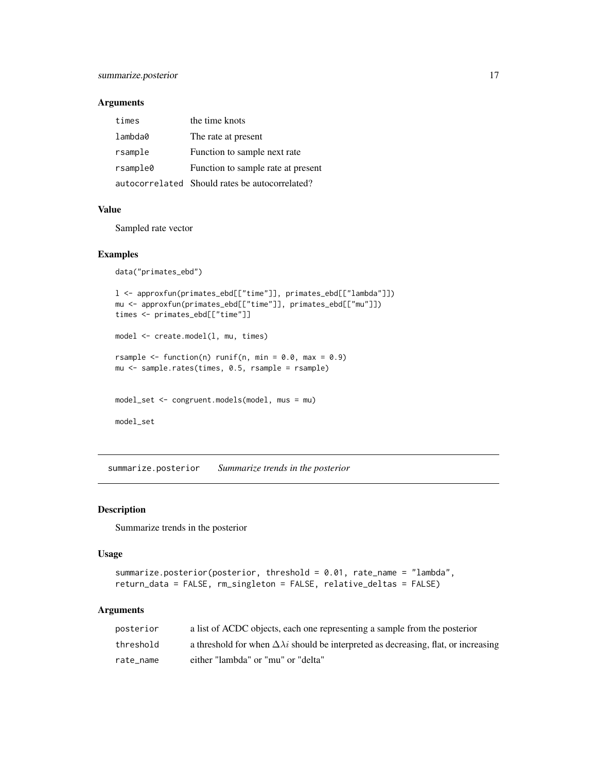# <span id="page-16-0"></span>Arguments

| times    | the time knots                                 |
|----------|------------------------------------------------|
| lambda0  | The rate at present                            |
| rsample  | Function to sample next rate                   |
| rsample0 | Function to sample rate at present             |
|          | autocorrelated Should rates be autocorrelated? |

#### Value

Sampled rate vector

#### Examples

```
data("primates_ebd")
l <- approxfun(primates_ebd[["time"]], primates_ebd[["lambda"]])
mu <- approxfun(primates_ebd[["time"]], primates_ebd[["mu"]])
times <- primates_ebd[["time"]]
model <- create.model(l, mu, times)
rsample \leq function(n) runif(n, min = 0.0, max = 0.9)
mu <- sample.rates(times, 0.5, rsample = rsample)
model_set <- congruent.models(model, mus = mu)
model_set
```
summarize.posterior *Summarize trends in the posterior*

# Description

Summarize trends in the posterior

#### Usage

```
summarize.posterior(posterior, threshold = 0.01, rate_name = "lambda",
return_data = FALSE, rm_singleton = FALSE, relative_deltas = FALSE)
```

| posterior | a list of ACDC objects, each one representing a sample from the posterior                        |
|-----------|--------------------------------------------------------------------------------------------------|
| threshold | a threshold for when $\Delta \lambda i$ should be interpreted as decreasing, flat, or increasing |
| rate name | either "lambda" or "mu" or "delta"                                                               |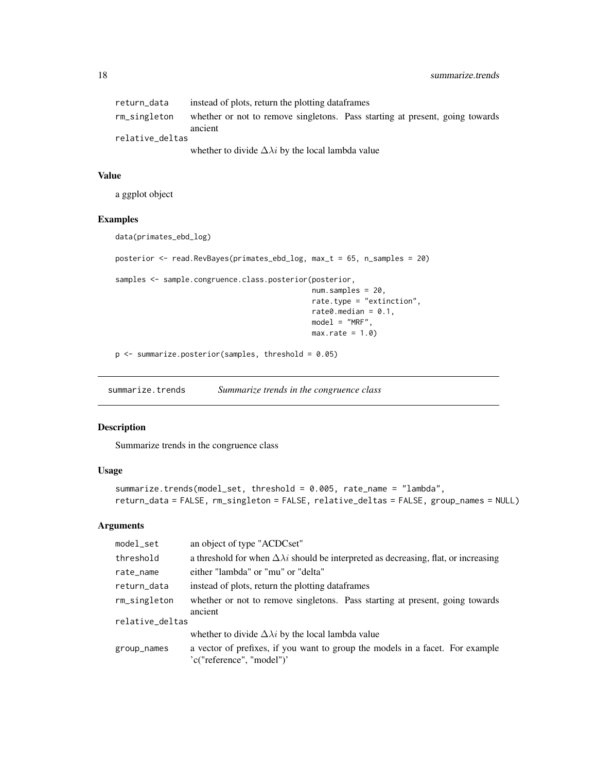<span id="page-17-0"></span>

| return data     | instead of plots, return the plotting data frames |                                                                              |
|-----------------|---------------------------------------------------|------------------------------------------------------------------------------|
| rm_singleton    | ancient                                           | whether or not to remove singletons. Pass starting at present, going towards |
| relative deltas |                                                   |                                                                              |

whether to divide  $\Delta \lambda i$  by the local lambda value

# Value

a ggplot object

# Examples

```
data(primates_ebd_log)
```
posterior <- read.RevBayes(primates\_ebd\_log, max\_t = 65, n\_samples = 20)

samples <- sample.congruence.class.posterior(posterior,

```
num.samples = 20,
rate.type = "extinction",
rate0.median = 0.1,
model = "MRF",
max rate = 1.0
```
 $p \leq -$  summarize.posterior(samples, threshold = 0.05)

summarize.trends *Summarize trends in the congruence class*

#### Description

Summarize trends in the congruence class

# Usage

```
summarize.trends(model_set, threshold = 0.005, rate_name = "lambda",
return_data = FALSE, rm_singleton = FALSE, relative_deltas = FALSE, group_names = NULL)
```

| model_set       | an object of type "ACDCset"                                                                                |  |
|-----------------|------------------------------------------------------------------------------------------------------------|--|
| threshold       | a threshold for when $\Delta \lambda i$ should be interpreted as decreasing, flat, or increasing           |  |
| rate_name       | either "lambda" or "mu" or "delta"                                                                         |  |
| return_data     | instead of plots, return the plotting dataframes                                                           |  |
| rm_singleton    | whether or not to remove singletons. Pass starting at present, going towards<br>ancient                    |  |
| relative_deltas |                                                                                                            |  |
|                 | whether to divide $\Delta \lambda i$ by the local lambda value                                             |  |
| group_names     | a vector of prefixes, if you want to group the models in a facet. For example<br>'c("reference", "model")' |  |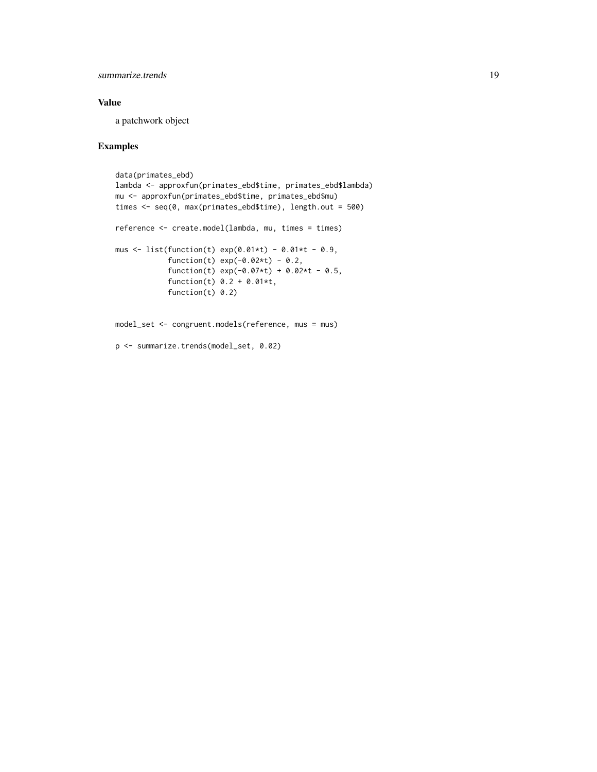summarize.trends 19

# Value

a patchwork object

```
data(primates_ebd)
lambda <- approxfun(primates_ebd$time, primates_ebd$lambda)
mu <- approxfun(primates_ebd$time, primates_ebd$mu)
times <- seq(0, max(primates_ebd$time), length.out = 500)
reference <- create.model(lambda, mu, times = times)
mus <- list(function(t) exp(0.01*t) - 0.01*t - 0.9,
            function(t) exp(-0.02*t) - 0.2,
            function(t) exp(-0.07*t) + 0.02*t - 0.5,
            function(t) 0.2 + 0.01*t,
            function(t) 0.2)
model_set <- congruent.models(reference, mus = mus)
p <- summarize.trends(model_set, 0.02)
```